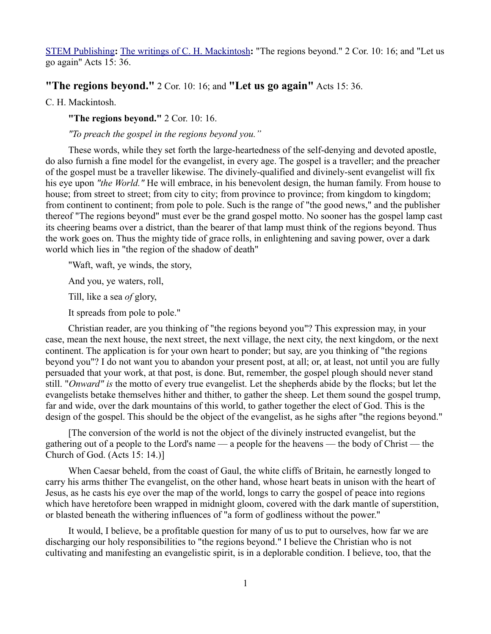## [STEM Publishing](http://www.stempublishing.com/)**:** [The writings of C. H. Mackintosh](http://www.stempublishing.com/authors/mackintosh/index.html)**:** "The regions beyond." 2 Cor. 10: 16; and "Let us go again" Acts 15: 36.

## **"The regions beyond."** 2 Cor. 10: 16; and **"Let us go again"** Acts 15: 36.

C. H. Mackintosh.

**"The regions beyond."** 2 Cor. 10: 16.

*"To preach the gospel in the regions beyond you."* 

These words, while they set forth the large-heartedness of the self-denying and devoted apostle, do also furnish a fine model for the evangelist, in every age. The gospel is a traveller; and the preacher of the gospel must be a traveller likewise. The divinely-qualified and divinely-sent evangelist will fix his eye upon *"the World."* He will embrace, in his benevolent design, the human family. From house to house; from street to street; from city to city; from province to province; from kingdom to kingdom; from continent to continent; from pole to pole. Such is the range of "the good news," and the publisher thereof "The regions beyond" must ever be the grand gospel motto. No sooner has the gospel lamp cast its cheering beams over a district, than the bearer of that lamp must think of the regions beyond. Thus the work goes on. Thus the mighty tide of grace rolls, in enlightening and saving power, over a dark world which lies in "the region of the shadow of death"

"Waft, waft, ye winds, the story,

And you, ye waters, roll,

Till, like a sea *of* glory,

It spreads from pole to pole."

Christian reader, are you thinking of "the regions beyond you"? This expression may, in your case, mean the next house, the next street, the next village, the next city, the next kingdom, or the next continent. The application is for your own heart to ponder; but say, are you thinking of "the regions beyond you"? I do not want you to abandon your present post, at all; or, at least, not until you are fully persuaded that your work, at that post, is done. But, remember, the gospel plough should never stand still. "*Onward" is* the motto of every true evangelist. Let the shepherds abide by the flocks; but let the evangelists betake themselves hither and thither, to gather the sheep. Let them sound the gospel trump, far and wide, over the dark mountains of this world, to gather together the elect of God. This is the design of the gospel. This should be the object of the evangelist, as he sighs after "the regions beyond."

[The conversion of the world is not the object of the divinely instructed evangelist, but the gathering out of a people to the Lord's name — a people for the heavens — the body of Christ — the Church of God. (Acts 15: 14.)]

When Caesar beheld, from the coast of Gaul, the white cliffs of Britain, he earnestly longed to carry his arms thither The evangelist, on the other hand, whose heart beats in unison with the heart of Jesus, as he casts his eye over the map of the world, longs to carry the gospel of peace into regions which have heretofore been wrapped in midnight gloom, covered with the dark mantle of superstition, or blasted beneath the withering influences of "a form of godliness without the power."

It would, I believe, be a profitable question for many of us to put to ourselves, how far we are discharging our holy responsibilities to "the regions beyond." I believe the Christian who is not cultivating and manifesting an evangelistic spirit, is in a deplorable condition. I believe, too, that the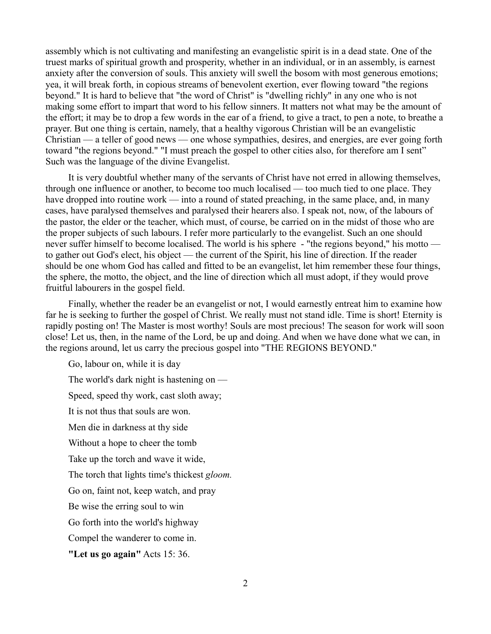assembly which is not cultivating and manifesting an evangelistic spirit is in a dead state. One of the truest marks of spiritual growth and prosperity, whether in an individual, or in an assembly, is earnest anxiety after the conversion of souls. This anxiety will swell the bosom with most generous emotions; yea, it will break forth, in copious streams of benevolent exertion, ever flowing toward "the regions beyond." It is hard to believe that "the word of Christ" is "dwelling richly" in any one who is not making some effort to impart that word to his fellow sinners. It matters not what may be the amount of the effort; it may be to drop a few words in the ear of a friend, to give a tract, to pen a note, to breathe a prayer. But one thing is certain, namely, that a healthy vigorous Christian will be an evangelistic Christian — a teller of good news — one whose sympathies, desires, and energies, are ever going forth toward "the regions beyond." "I must preach the gospel to other cities also, for therefore am I sent" Such was the language of the divine Evangelist.

It is very doubtful whether many of the servants of Christ have not erred in allowing themselves, through one influence or another, to become too much localised — too much tied to one place. They have dropped into routine work — into a round of stated preaching, in the same place, and, in many cases, have paralysed themselves and paralysed their hearers also. I speak not, now, of the labours of the pastor, the elder or the teacher, which must, of course, be carried on in the midst of those who are the proper subjects of such labours. I refer more particularly to the evangelist. Such an one should never suffer himself to become localised. The world is his sphere - "the regions beyond," his motto to gather out God's elect, his object — the current of the Spirit, his line of direction. If the reader should be one whom God has called and fitted to be an evangelist, let him remember these four things, the sphere, the motto, the object, and the line of direction which all must adopt, if they would prove fruitful labourers in the gospel field.

Finally, whether the reader be an evangelist or not, I would earnestly entreat him to examine how far he is seeking to further the gospel of Christ. We really must not stand idle. Time is short! Eternity is rapidly posting on! The Master is most worthy! Souls are most precious! The season for work will soon close! Let us, then, in the name of the Lord, be up and doing. And when we have done what we can, in the regions around, let us carry the precious gospel into "THE REGIONS BEYOND."

Go, labour on, while it is day The world's dark night is hastening on — Speed, speed thy work, cast sloth away; It is not thus that souls are won. Men die in darkness at thy side Without a hope to cheer the tomb Take up the torch and wave it wide, The torch that lights time's thickest *gloom.* Go on, faint not, keep watch, and pray Be wise the erring soul to win Go forth into the world's highway Compel the wanderer to come in. **"Let us go again"** Acts 15: 36.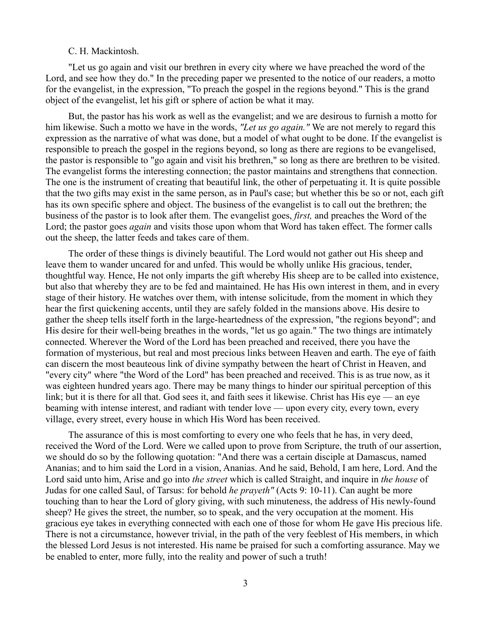## C. H. Mackintosh.

"Let us go again and visit our brethren in every city where we have preached the word of the Lord, and see how they do." In the preceding paper we presented to the notice of our readers, a motto for the evangelist, in the expression, "To preach the gospel in the regions beyond." This is the grand object of the evangelist, let his gift or sphere of action be what it may.

But, the pastor has his work as well as the evangelist; and we are desirous to furnish a motto for him likewise. Such a motto we have in the words, *"Let us go again."* We are not merely to regard this expression as the narrative of what was done, but a model of what ought to be done. If the evangelist is responsible to preach the gospel in the regions beyond, so long as there are regions to be evangelised, the pastor is responsible to "go again and visit his brethren," so long as there are brethren to be visited. The evangelist forms the interesting connection; the pastor maintains and strengthens that connection. The one is the instrument of creating that beautiful link, the other of perpetuating it. It is quite possible that the two gifts may exist in the same person, as in Paul's case; but whether this be so or not, each gift has its own specific sphere and object. The business of the evangelist is to call out the brethren; the business of the pastor is to look after them. The evangelist goes, *first,* and preaches the Word of the Lord; the pastor goes *again* and visits those upon whom that Word has taken effect. The former calls out the sheep, the latter feeds and takes care of them.

The order of these things is divinely beautiful. The Lord would not gather out His sheep and leave them to wander uncared for and unfed. This would be wholly unlike His gracious, tender, thoughtful way. Hence, He not only imparts the gift whereby His sheep are to be called into existence, but also that whereby they are to be fed and maintained. He has His own interest in them, and in every stage of their history. He watches over them, with intense solicitude, from the moment in which they hear the first quickening accents, until they are safely folded in the mansions above. His desire to gather the sheep tells itself forth in the large-heartedness of the expression, "the regions beyond"; and His desire for their well-being breathes in the words, "let us go again." The two things are intimately connected. Wherever the Word of the Lord has been preached and received, there you have the formation of mysterious, but real and most precious links between Heaven and earth. The eye of faith can discern the most beauteous link of divine sympathy between the heart of Christ in Heaven, and "every city" where "the Word of the Lord" has been preached and received. This is as true now, as it was eighteen hundred years ago. There may be many things to hinder our spiritual perception of this link; but it is there for all that. God sees it, and faith sees it likewise. Christ has His eye — an eye beaming with intense interest, and radiant with tender love — upon every city, every town, every village, every street, every house in which His Word has been received.

The assurance of this is most comforting to every one who feels that he has, in very deed, received the Word of the Lord. Were we called upon to prove from Scripture, the truth of our assertion, we should do so by the following quotation: "And there was a certain disciple at Damascus, named Ananias; and to him said the Lord in a vision, Ananias. And he said, Behold, I am here, Lord. And the Lord said unto him, Arise and go into *the street* which is called Straight, and inquire in *the house* of Judas for one called Saul, of Tarsus: for behold *he prayeth"* (Acts 9: 10-11). Can aught be more touching than to hear the Lord of glory giving, with such minuteness, the address of His newly-found sheep? He gives the street, the number, so to speak, and the very occupation at the moment. His gracious eye takes in everything connected with each one of those for whom He gave His precious life. There is not a circumstance, however trivial, in the path of the very feeblest of His members, in which the blessed Lord Jesus is not interested. His name be praised for such a comforting assurance. May we be enabled to enter, more fully, into the reality and power of such a truth!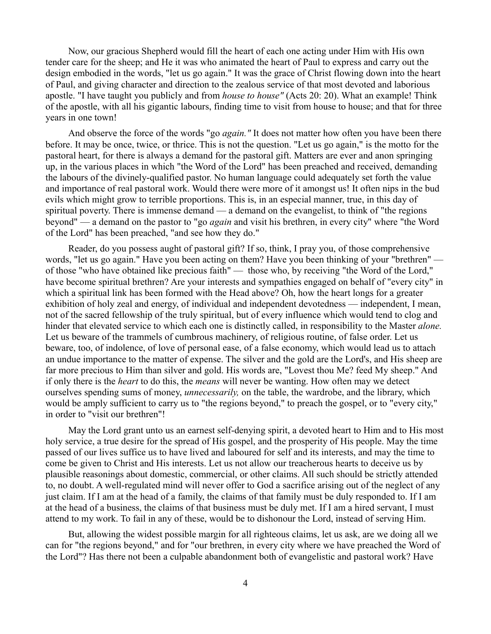Now, our gracious Shepherd would fill the heart of each one acting under Him with His own tender care for the sheep; and He it was who animated the heart of Paul to express and carry out the design embodied in the words, "let us go again." It was the grace of Christ flowing down into the heart of Paul, and giving character and direction to the zealous service of that most devoted and laborious apostle. "I have taught you publicly and from *house to house"* (Acts 20: 20). What an example! Think of the apostle, with all his gigantic labours, finding time to visit from house to house; and that for three years in one town!

And observe the force of the words "go *again."* It does not matter how often you have been there before. It may be once, twice, or thrice. This is not the question. "Let us go again," is the motto for the pastoral heart, for there is always a demand for the pastoral gift. Matters are ever and anon springing up, in the various places in which "the Word of the Lord" has been preached and received, demanding the labours of the divinely-qualified pastor. No human language could adequately set forth the value and importance of real pastoral work. Would there were more of it amongst us! It often nips in the bud evils which might grow to terrible proportions. This is, in an especial manner, true, in this day of spiritual poverty. There is immense demand — a demand on the evangelist, to think of "the regions beyond" — a demand on the pastor to "go *again* and visit his brethren, in every city" where "the Word of the Lord" has been preached, "and see how they do."

Reader, do you possess aught of pastoral gift? If so, think, I pray you, of those comprehensive words, "let us go again." Have you been acting on them? Have you been thinking of your "brethren" of those "who have obtained like precious faith" — those who, by receiving "the Word of the Lord," have become spiritual brethren? Are your interests and sympathies engaged on behalf of "every city" in which a spiritual link has been formed with the Head above? Oh, how the heart longs for a greater exhibition of holy zeal and energy, of individual and independent devotedness — independent, I mean, not of the sacred fellowship of the truly spiritual, but of every influence which would tend to clog and hinder that elevated service to which each one is distinctly called, in responsibility to the Master *alone.* Let us beware of the trammels of cumbrous machinery, of religious routine, of false order. Let us beware, too, of indolence, of love of personal ease, of a false economy, which would lead us to attach an undue importance to the matter of expense. The silver and the gold are the Lord's, and His sheep are far more precious to Him than silver and gold. His words are, "Lovest thou Me? feed My sheep." And if only there is the *heart* to do this, the *means* will never be wanting. How often may we detect ourselves spending sums of money, *unnecessarily,* on the table, the wardrobe, and the library, which would be amply sufficient to carry us to "the regions beyond," to preach the gospel, or to "every city," in order to "visit our brethren"!

May the Lord grant unto us an earnest self-denying spirit, a devoted heart to Him and to His most holy service, a true desire for the spread of His gospel, and the prosperity of His people. May the time passed of our lives suffice us to have lived and laboured for self and its interests, and may the time to come be given to Christ and His interests. Let us not allow our treacherous hearts to deceive us by plausible reasonings about domestic, commercial, or other claims. All such should be strictly attended to, no doubt. A well-regulated mind will never offer to God a sacrifice arising out of the neglect of any just claim. If I am at the head of a family, the claims of that family must be duly responded to. If I am at the head of a business, the claims of that business must be duly met. If I am a hired servant, I must attend to my work. To fail in any of these, would be to dishonour the Lord, instead of serving Him.

But, allowing the widest possible margin for all righteous claims, let us ask, are we doing all we can for "the regions beyond," and for "our brethren, in every city where we have preached the Word of the Lord"? Has there not been a culpable abandonment both of evangelistic and pastoral work? Have